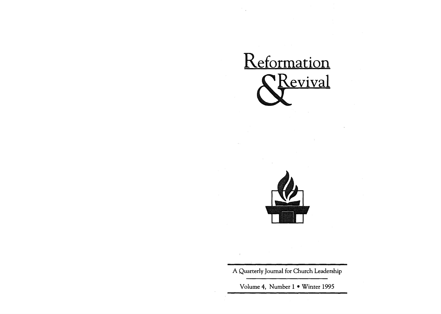



A Quarterly Journal for Church Leadership

Volume 4, Number 1 • Winter 1995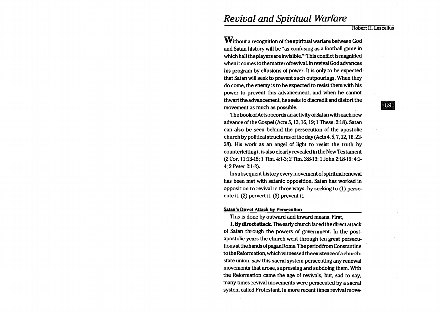# Revival and Spiritual Warfare

### Robert H. Lescelius

Without a recognition of the spiritual warfare between God and Satan history will be "as confusing as a football game in which half the players are invisible."1 This conflict is magnified when it comes to the matter of revival. In revival God advances his program by effusions of power. It is only to be expected that Satan will seek to prevent such outpourings. When they do come, the enemy is to be expected to resist them with his power to prevent this advancement, and when he cannot thwart the advancement, he seeks to discredit and distort the movement as much as possible.

The book of Acts records an activity of Satan with each new advance of the Gospel (Acts 5,13,16, 19; 1 Thess. 2:18). Satan can also be seen behind the persecution of the apostolic churchbypoliticalstructuresoftheday(Acts4,5, 7,12,16,22- 28). His work as an angel of light to resist the truth by counterfeiting it is also clearly revealed in the New Testament (2 Cor. 11:13-15; 1 Tim. 4:1-3; 2 Tim. 3:8-13; 1 John 2:18-19; 4:1- 4; 2 Peter 2:1-2).

In subsequent history every movement of spiritual renewal has been met with satanic opposition. Satan has worked in opposition to revival in three ways: by seeking to (1) persecute it, (2) pervert it, (3) prevent it.

#### Satan's Direct Attack by Persecution

This is done by outward and inward means. First,

1. By dlrect attack. The early church faced the direct attack of Satan through the powers of government. In the postapostolic years the church went through ten great persecutions at the hands of pagan Rome. The period from Constantine totheReformation, which witnessed the existence of a churchstate union, saw this sacral system persecuting any renewal movements that arose, supressing and subdoing them. With the Reformation came the age of revivals, but, sad to say, many times revival movements were persecuted by a sacral system called Protestant. In more recent times revival move-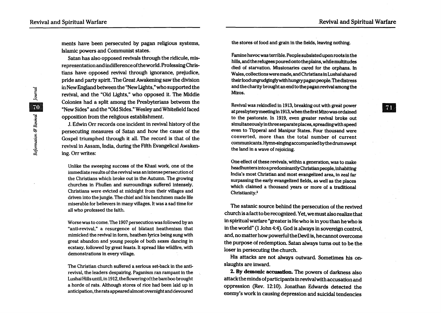•

Revival and Spiritual Warfare

ments have been persecuted by pagan religious systems, Islamic powers and Communist states.

Satan has also opposed revivals through the ridicule, misrepresentation and indifference of the world. Professing Christians have opposed revival through ignorance, prejudice, pride and party spirit. The Great Awakening saw the division in New England between the "New Ughts," who supported the revival, and the "Old Lights," who opposed it. The Middle Colonies had a split among the Presbyterians between the "New Sides" and the "Old Sides." Wesley and Whitefield faced opposition from the religious establishment.

J. Edwin Orr records one incident in revival history of the persecuting measures of Satan and how the cause of the Gospel triumphed through it all. The record is that of the revival in Assam, India, during the Fifth Evangelical Awakening. Orr writes:

Unlike the sweeping success of the Khasi work, one of the immediate results of the revival was an intense persecution of the Christians which broke out in the Autumn. The growing churches in Phullen and surroundings suffered intensely. Christians were evicted at midnight from their villages and driven into the jungle. The chief and his henchmen made life miserable for believers in many villages. It was a sad time for all who professed the faith.

Worse was to come. The 1907 persecution was followed by an "anti-revival," a resurgence of blatant heathenism that mimicked the revival In form, heathen lyrics being sung with great abandon and young people of both sexes dancing in ecstasy, followed by great feasts. It spread like wildfire, with demonstrations in every village.

The Christian church suffered a serious set-back in the antirevival, the leaders despairing. Paganism ran rampant in the Lushai Hills until, in 1912, the flowering of the bam boo brought a horde of rats. Although stores of rice had been laid up in anticipation, the rats appeared almost overnight and devoured

the stores of food and grain in the fields, leaving nothing.

Famine havoc was terrible. People subsisted upon roots in the hills, and the refugees poured onto the plains, while multitudes died of starvation. Missionaries cared for the orphans. In Wales, collections were made, and Christians in Lushai shared their food ungrudginglywith hungry pagan people. The distress and the charity brought an end to the pagan revival among the Mizos.

Revival was rekindled in 1913, breaking out with great power at presbytery meeting in 1913, when the first Mizowas ordained to the pastorate. In 1919, even greater revival broke out simultaneously in three separate places, spreading with speed even to Tipperal and Manipur States. Four thousand were converted, more than the total number of current communicants. Hymn-singing accompanied by the drum swept the land in a wave of rejoicing.

One effect of these revivals, within a generation, was to make headhunters intoapredomlnantlyChrlstian people, Inhabiting India's most Christian and most evangelized area, in zeal far surpassing the early evangelized fields, as well as the places which claimed a thousand years or more of a traditional Christianity.<sup>2</sup>

The satanic source behind the persecution of the revived church is a fact to be recognized. Yet, we must also realize that in spiritual warfare "greater is He who is in you than he who is in the world" (1 John 4:4). God is always in sovereign control, and, no matter how powerful the Devil is, he cannot overcome the purpose of redemption. Satan always turns out to be the loser in persecuting the church.

His attacks are not always outward. Sometimes his onslaughts are inward.

2. By demonic accusation. The powers of darkness also attack the minds of participants in revival with accusation and oppression (Rev. 12:10). Jonathan Edwards detected the enemy's work in causing depression and suicidal tendencies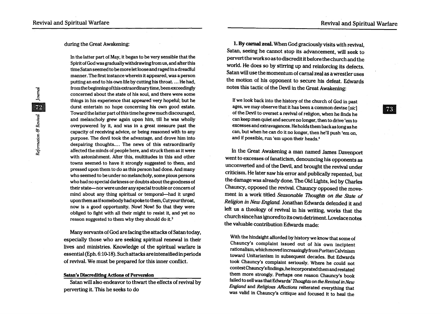during the Great Awakening:

In the latter part of May, it began to be very sensible that the Spirit of God was gradually withdrawing from us, and after this time Satan seemed to be more let loose and raged in a dreadful manner. The first instance wherein it appeared, was a person putting an end to his own life by cutting his throat .... He had, from thebeginning of this extraordinary time, been exceedingly concerned about the state of his soul, and there were some things in his experience that appeared very hopeful; but he durst entertain no hope concerning his own good estate. Toward the latter part of this time he grew much discouraged, and melancholy grew again upon him, till he was wholly overpowered by it, and was in a great measure past the capacity of receiving advice, or being reasoned with to any purpose. The devil took the advantage, and drove him into despairing thoughts.... The news of this extraordinarily affected the minds of people here, and struck them as it were with astonishment. After this, multitudes in this and other towns seemed. to have it strongly suggested to them, and pressed upon them to do as this person had done. And many who seemed to be under no melancholy, some pious persons who had no special darkness or doubts about the goodness of their state-nor were under any special trouble or concern of mind about any thing spiritual or temporal-had it urged upon them as if somebody had spoke to them, Cut your throat, now is a good opportunity. Now! Now! So that they were obliged to fight with all their might to resist it, and yet no reason suggested to them why they should do it.<sup>3</sup>

Many servants of God are facing the attacks of Satan today, especially those who are seeking spiritual renewal in their lives and ministries. Knowledge of the spiritual warfare is essential (Eph. 6:10-18). Such attacks are intensified in periods of revival. We must be prepared for this inner conflict.

## Satan's Discrediting Actions of Perversion

Satan will also endeavor to thwart the effects of revival by perverting it. This he seeks to do

1. By camal zeal. When God graciously visits with revival, Satan, seeing he cannot stop its advancement, will seek to pervert the work so as to discredit it before the church and the world. He does so by stirring up and reinforcing its defects. Satan will use the momentum of carnal zeal as a wrestler uses the motion of his opponent to secure his defeat. Edwards notes this tactic of the Devil in the Great Awakening:

If we look back into the history of the church of God in past ages, we may observe that it has been a common devise [sic] of the Devil to overset a revival of religion, when he finds he can keep men quiet and secure no longer, then to drive 'em to excesses and extravagances. He holds them back as long as he can, but when he can do it no longer, then he'll push 'em on, and if possible, run 'em upon their heads.4

In the Great Awakening a man named James Davenport went to excesses of fanaticism, denouncing his opponents as unconverted and of the Devil, and brought the revival under criticism. He later saw his error and publically repented, but the damage was already done. The Old Lights, led by Charles Chauncy, opposed the revival. Chauncy opposed the movement in a work titled Seasonable Thoughts on the State of Religion in New England. Jonathan Edwards defended it and left us a theology of revival in his writing, works that the church since has ignored to its own detriment. Lovelace notes the valuable contribution Edwards made:

With the hindsight afforded by history we know that some of Chauncy's complaint issued out of his own incipient rationalism, which moved Increasingly from Puritan Calvinism toward Unitarianism in subsequent decades. But Edwards took Chauncy's complaint seriously. Where he could not contest Chauncy's findings, he incorporated them and restated them more strongly. Perhaps one reason Chauncy's book failed to sell was that Edwards' Thoughts on the Revival in New England and Religious Affections reiterated everything that was Valid in Chauncy's critique and focused It to heal the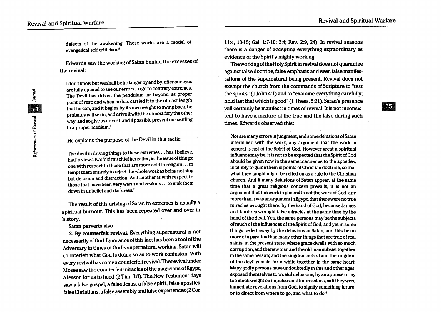defects of the awakening. These works are a model of evangelical self-criticism.5

Edwards saw the working of Satan behind the excesses of the revival:

I don't know but we shall be in danger by and by, after our eyes are fully opened to see our errors, to go to contrary extremes. The Devil has driven the pendulum far beyond Its proper point of rest; and when he has carried it to the utmost length that he can, and it begins by its own weight to swing back, he probably will set in, and drive it with the utmost fury the other way; and so give us no rest; and if possible prevent our settling in a proper medium.6

# He explains the purpose of the Devil in this tactic:

The devil in driving things to these extremes ... has I believe, had in view a twofold mischief hereafter, in the issue of things; one with respect to those that are more cold in religion ... to tempt them entirely to reject the whole work as being nothing but delusion and distraction. And another is with respect to those that have been very warm and zealous ... to sink them down in unbelief and darkness.<sup>7</sup>

The result of this driving of Satan to extremes is usually a spiritual burnout. This has been repeated over and over in history.

Satan perverts also

2. By counterfeit revival. Everything supernatural is not necessarily of God. Ignorance of this fact has been a tool of the Adversary in times of God's supernatural working. Satan will counterfeit what God is doing so as to work confusion. With every revival has come a counterfeit revival. The revival under Moses saw the counterfeit miracles of the magicians of Egypt, a lesson for us to heed (2 Tim. 3:8). The New Testament days saw a false gospel, a false Jesus, a false spirit, false apostles, false Christians, a false assembly and false experiences (2 Cor. 11:4, 13-15; Gal. 1:7-10; 2:4; Rev. 2:9, 24). In revival seasons there is a danger of accepting everything extraordinary as evidence of the Spirit's mighty working.

Theworking of the Holy Spirit in revival does not quarantee against false doctrine, false emphasis and even false manifestations of the supernatural being present. Revival does not exempt the church from the commands of Scripture to "test the spirits" (1 John 4:1) and to "examine everything carefully; hold fast that which is good" (1 Thess. 5:21). Satan's presence will certainly be manifest in times of revival. It is not inconsistent to have a mixture of the true and the false during such times. Edwards observed this:

Nor are many errors injudgment, and some delusions of Satan intermixed with the work, any argument that the work in generalis not of the Spirit of God. However great a spiritual influence may be, it is not to be expected that the Spirit of God should be given now in the same manner as to the apostles. infallibly to guide them in points of Christian doctrine, so that what they taught might be relied on as a rule to the Christian church. And if many delusions of Satan appear, at the same time that a great religious concern prevails, it is not an argument that the work in general is not the work of God, any more than it was an argument in Egypt, that there were no true miracles wrought there, by the hand of God, because Jannes and Jambres wrought false miracles at the same time by the hand of the devil. Yea, the same persons may be the subjects of much of the Influences of the Spirit of God, and yet in some things be led away by the delusions of Satan, and this be no more of a paradox than many other things that are true of real saints, in the present state, where grace dwells with so much corruption, and the newman and the old man subsist together in the same person; and the kingdom of God and the kingdom of the devil remain for a while together in the same heart. Many godly persons have undoubtedly in this and other ages, exposed themselves to woeful delusions, by an aptness to lay too much weight on impulses and impressions, as if they were immediate revelations from God, to signify something future, or to direct from where to go, and what to do.<sup>8</sup>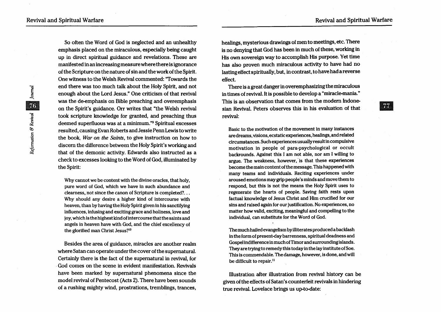•

So often the Word of God is neglected and an unhealthy emphasis placed on the miraculous, especially being caught up in direct spiritual guidance and revelations. These are manifested in an increasing measure where there is ignorance of the Scripture on the nature of sin and the work of the Spirit. One witness to the Welsh Revival commented: "Towards the end there was too much talk about the Holy Spirit, and not enough about the Lord Jesus." One criticism of that revival was the de-emphasis on Bible preaching and overemphasis on the Spirit's guidance. Orr writes that "the Welsh revival took scripture knowledge for granted, and preaching thus deemed superfluous was at a minimum."9 Spiritual excesses resulted, causing Evan Roberts and Jessie Penn Lewis to write the book, *War on the Saints,* to give instruction on how to discern the difference between the Holy Spirit's working and that of the demonic activity. Edwards also instructed as a check to excesses looking to the Word of God, illuminated by the Spirit:

Why cannot we be content with the divine oracles, that holy, pure word of God, which we have in such abundance and clearness, not since the canon of Scripture is completed? .. Why should any desire a higher kind of intercourse with heaven, than by having the Holy Spirit given in his sanctifying influences, infusing and exciting grace and holiness, love and joy, which is the highest kind of intercourse that the saints and angels in heaven have with God, and the chief excellency of the glorified man Christ Jesus?<sup>10</sup>

Besides the area of guidance, miracles are another realm where Satan can operate under the cover of the supernatural. Certainly there is the fact of the supernatural in revival, for . God comes on the scene in evident manifestation. Revivals have been marked by supernatural phenomena since the model revival of Pentecost (Acts 2). There have been sounds of a rushing mighty wind, prostrations, tremblings, trances,

healings, mysterious drawings of men to meetings, etc. There is no denying that God has been in much of these, working in His own sovereign way to accomplish His purpose. Yet time has also proven much miraculous activity to have had no lasting effect spiritually, but, in contrast, to have had a reverse effect.

There is a great danger in overemphasizing the miraculous in times of revival. It is possible to develop a "miracle-mania." This is an observation that comes from the modern Indonesian Revival. Peters observes this in his evaluation of that revival:

Basic to the motivation of the movement in many instances are dreams, visions, ecstatic experiences, healings, and related circumstances. Such experiences. usually result in compulsive motivation in people of para-psychological or occult backrounds. Against this I am not able, nor am I willing to argue. The weakness, however,' is that these experiences become the main content of the message. This happened with many teams and individuals. Reciting experiences under aroused emotions may grip people's minds and move them to respond, but this is not the means the Holy Spirit uses to regenerate the hearts of people. Saving faith rests upon factual knowledge of Jesus Christ and Him crucified for our sins and raised again for our justification. No experiences, no matter how valid, exciting, meaningful and compelling to the individual, can substitute for the Word of God.

The much hailed evangelism by illiterates produced a backlash in the form of present-day barrenness, spiritual deadness and Gospel indifference in much ofTimor and surrounding islands. They are trying to remedy this today in the lay institute of Soe. This is commendable. The damage, however, is done, and will be difficult to repair.<sup>11</sup>

Illustration after illustration from revival history can be given of the effects of Satan's counterfeit revivals in hindering true revival. Lovelace brings us up-to-date: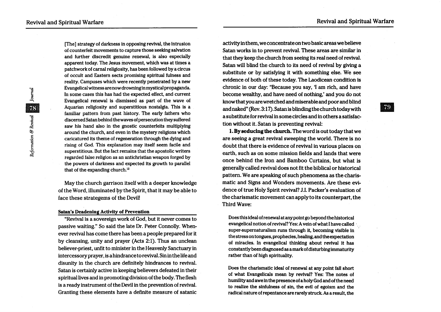[The] strategy of darkness in opposing revival, the intrusion of counterfeit movements to capture those seeking salvation and further discredit genuine renewal, is also especially apparent today. The Jesus movement, which was at times a patchwork of carnal religiosity, has been followed by a circus of occult and Eastern sects promising spiritual fulness and reality. Campuses which were recently penetrated by a new Evangelical witness are now drowning in mystical propaganda. In some cases this has had the expected effect, and current Evangelical renewal is dismissed as part of the wave of Aquarian religiosity and superstitious nostalgia. This is a familiar pattern from past history. The early fathers who discerned Satan behind the waves of persecution theysuffered saw his hand also in the gnostic counterfeits multiplying around the church, and even in the mystery religions which caricatured its theme of regeneration through the dying and rising of God. This explanation may itself seem facile and superstitious. But the fact remains that the apostolic writers regarded false religion as an antichristian weapon forged by the powers of darkness and expected its growth to parallel that of the expanding church.<sup>12</sup>

May the church garrison itself with a deeper knowledge of the Word, illuminated by the Spirit, that it may be able to face these strategems of the Devil!

### Satan's Deadening Activity of Prevention

"Revival is a sovereign work of God, but it never comes to passive waiting." So said the late Dr. Peter Connolly. Whenever revival has come there has been a people prepared for it by cleansing, unity and prayer (Acts 2:1). Thus an unclean believer-priest, unfit to minister in the Heavenly Sanctuary in intercessory prayer, is a hindrance to revival. Sin in the life and disunity in the church are definitely hindrances to revival. Satan is certainly active in keeping believers defeated in their spiritual lives and in promoting division of the body. The flesh is a ready instrument of the Devil in the prevention of revival. Granting these elements have a definite measure of satanic

activity in them, we concentrate on two basic areas we believe Satan works in to prevent revival. These areas are similar in that they keep the church from seeing its real need of revival. Satan will blind the church to its need of revival by giving a substitute or by satisfying it with something else. We see evidence of both of these today. The Laodicean condition is chronic in our day: "Because you say, 'I am rich, and have become wealthy, and have need of nothing,' and you do not know that you are wretched and miserable and poor and blind and naked" (Rev. 3:17). Satan is blinding the church today with a substitute for revival in some circles and in others a satisfaction without it. Satan is preventing revival:

1. By seducing the church. The word is out today that we are seeing a great revival sweeping the world. There is no doubt that there is evidence of revival in various places on earth, such as on some mission fields and lands that were once behind the Iron and Bamboo Curtains, but what is generally called revival does not fit the biblical or historical pattern. We are speaking of such phenomena as the charismatic and Signs and Wonders movements. Are these evidence of true Holy Spirit revival? J.1. Packer's evaluation of the charismatic movement can apply to its counterpart, the Third Wave:

Does this ideal of renewal at any point go beyond the historical evangelical notion of revival? Yes: A vein of what I have called ' super-supernaturalism runs through It, becoming visible In the stress on tongues, prophecies, healing, and the expectation of miracles. In evangelical thinking about revival It has constantly been diagnosed as a mark of disturbing immaturity rather than of high spirituality.

Does the charismatic ideal of renewal at any point fall short of what Evangelicals mean by revival? Yes: The notes of humility and awe in the presence of a holy God and of the need to realize the sinfulness of sin, the evil of egoism and the radical nature of repentance are rarely struck. As a result, the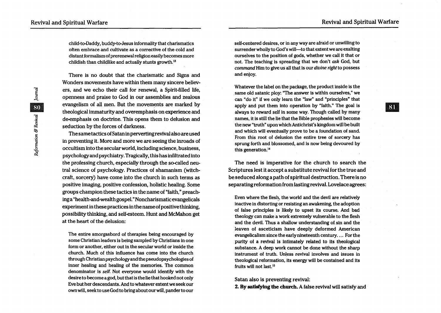child-to-Daddy, buddy-to-Jesus informality that charismatics often embrace and cultivate as a corrective of the cold and distant formalism of prerenewal religion easily becomes more childish than childlike and actually stunts growth. <sup>13</sup>

There is no doubt that the charismatic and Signs and Wonders movements have within them many sincere believers, and we echo their call for renewal, a Spirit-filled life, openness and praise to God in our assemblies and zealous evangelism of all men. But the movements are marked by theological immaturity and overemphasis on experience and de-emphasis on doctrine. This opens them to delusion and seduction by the forces of darkness.

The same tactics of Satan in perverting revival also are used in preventing it. More and more we are seeing the inroads of occultism into the secular world, including science, business, psychology and psychiatry. Tragically, this has infiltrated into the professing church, especially through the so-called neutral science of psychology. Practices of shamanism (witchcraft, sorcery) have come into the church in such terms as positive imaging, positive confession, holistic healing. Some groups champion these tactics in the name of "faith," preaching a "health-and-wealth gospel." Noncharismatic evangelicals experiment in these practices in the name of positive thinking, possibility thinking, and self-esteem. Hunt and McMahon get at the heart of the delusion:

The entire smorgasbord of therapies being encouraged by some Christian leaders is being sampled by Christians in one form or another, either out in the secular world or inside the church. Much of this influence has come into the church through Christian psychology and the pseudopsychologies of inner healing and healing of the memories. The common denominator is self. Not everyone would identify with the desire to become a god, but that is the lie that hooked not only Eve but her descendants. And to whatever extent we seek our own will, seek to use God to bring about our will, pander to our

self-centered desires, or in any way are afraid or unwilling to surrender wholly to God's will-to that extent we are exalting ourselves to the position of gods, whether we call it that or not. The teaching is spreading that we don't *ask* God, but command Him to give us all that is our divine right to possess and enjoy.

Whatever the label on the package, the product inside is the same old satanic ploy: "The answer is within ourselves," we can "do it" if we only learn the "law" and "principles" that apply and put them into operation by "faith." The goal is always to reward self in some way. Though called by many names, it is still the lie that the Bible prophesies will become the new "truth" upon which Antichrist's kingdom will be built and which will eventually prove to be a foundation of sand. From this root of delusion the entire tree of sorcery has sprung forth and blossomed, and is now being devoured by this generation.<sup>14</sup>

The need is imperative for the church to search the Scriptures lest it accept a substitute revival for the true and be seduced along a path of spiritual destruction. There is no separating reformation from lasting revival. Lovelace agrees:

Even where the flesh, the world and the devil are relatively inactive in distorting or resisting an awakening, the adoption of false principles is likely to upset its course. And bad theology can make a work extremely vulnerable to the flesh and the devil. Thus a shallow understanding of sin and the leaven of asceticism have deeply deformed American evangelicalism since the early nineteenth century.... For the purity of a revival is intimately related to its theological substance. A deep work cannot be done without the sharp instrument of truth. Unless revival involves and issues in theological reformation, its energy will be contained and its fruits will not last.15

Satan also is preventing revival:

**I**IIII

2. By satisfying the church. A false revival will satisfy and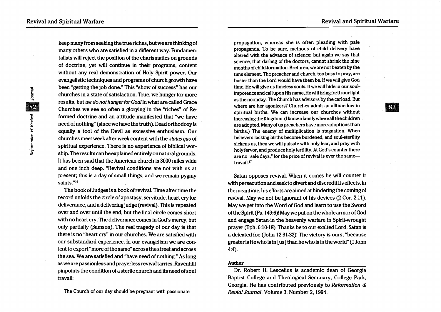keep many from seeking the true riches, but we are thinking of many others who are satisfied in a different way. Fundamentalists will reject the position of the charismatics on grounds of doctrine, yet will continue in their programs, content without any real demonstration of Holy Spirit power. Our evangelistic techniques and programs of church growth have been "getting the job done." This "show of success" has our churches in a state of satisfaction. True, we hunger for more results, but we do not hunger for God! In what are called Grace Churches we see so often a glorying in the "riches" of Reformed doctrine and an attitude manifested that ''we have need of nothing" (since we have the truth). Dead orthodoxy is equally a tool of the Devil as excessive enthusiasm. Our churches meet week after week content with the status quo of spiritual experience. There is no experience of biblical worship. The results can be explained entirely on natural grounds. It has been said that the American church is 3000 miles wide and one inch deep. "Revival conditions are not with us at present; this is a day of small things, and we remain pygmy saints."16

The book of Judges is a book of revival. Time after time the record unfolds the circle of apostasy, servitude, heart cry for deliverance, and a delivering judge (revival). This is repeated over and over until the end, but the final circle comes short with no heart cry. The deliverance comes in God's mercy, but only partially (Samson). The real tragedy of our day is that there is no "heart cry" in our churches. We are satisfied with our substandard experience. In our evangelism we are content to export "more of the same" across the street and across the sea. We are satisfied and "have need of nothing." As long as we are passionless and prayerless revival tarries. Ravenhill pinpoints the condition of a sterile church and its need of soul travail:

propagation, whereas she is often pleading with pale propaganda. To be sure, methods of child delivery have altered with the advance of science; but again we say that science, that darling of the doctors, cannot shrink the nine months of child-formation. Brethren, we are not beaten by the time element. The preacher and church, too busy to pray, are busier than the Lord would have them be. If we will give God time. He will give us timeless souls. If we will hide in our soulimpotence and call upon His name, He will bring forth our light as the noonday. The Church has advisors by the carload. But where are her agonizers? Churches admit an alltime low in spiritual births. We can increase our churches without increasing the Kingdom. (I know afamilywhereall the children are adopted. Many of us preachers have more adoptions than births.) The enemy of multiplication is stagnation. When believers lacking births become burdened, and soul-sterility sickens us, then we will pulsate with holy fear, and pray with holy fervor, and produce holy fertility. At God's counter there are no "sale days," for the price of revival is ever the same-travail.17

Satan opposes revival. When it comes he will counter it with persecution and seek to divert and discredit its effects. In the meantime, his efforts are aimed at hindering the coming of revival. May we not be ignorant of his devices (2 Cor. 2:11). May we get into the Word of God and learn to use the Sword of the Spirit (ps. 149:6)! Maywe put on the whole armor of God and engage Satan-in the heavenly warfare in Spirit-wrought prayer (Eph. 6:10-18)! Thanks be to our exalted Lord, Satan is a defeated foe (John 12:31-32)! The victory is ours, "because greater is He who is in [us] than he who is in the world" (1 John 4:4).

### Author

Dr. Robert H. Lescelius is academic dean of Georgia Baptist College and Theological Seminary, College Park, Georgia., He has contributed previously to Reformation & Revial Journal, Volume 3, Number 2, 1994.